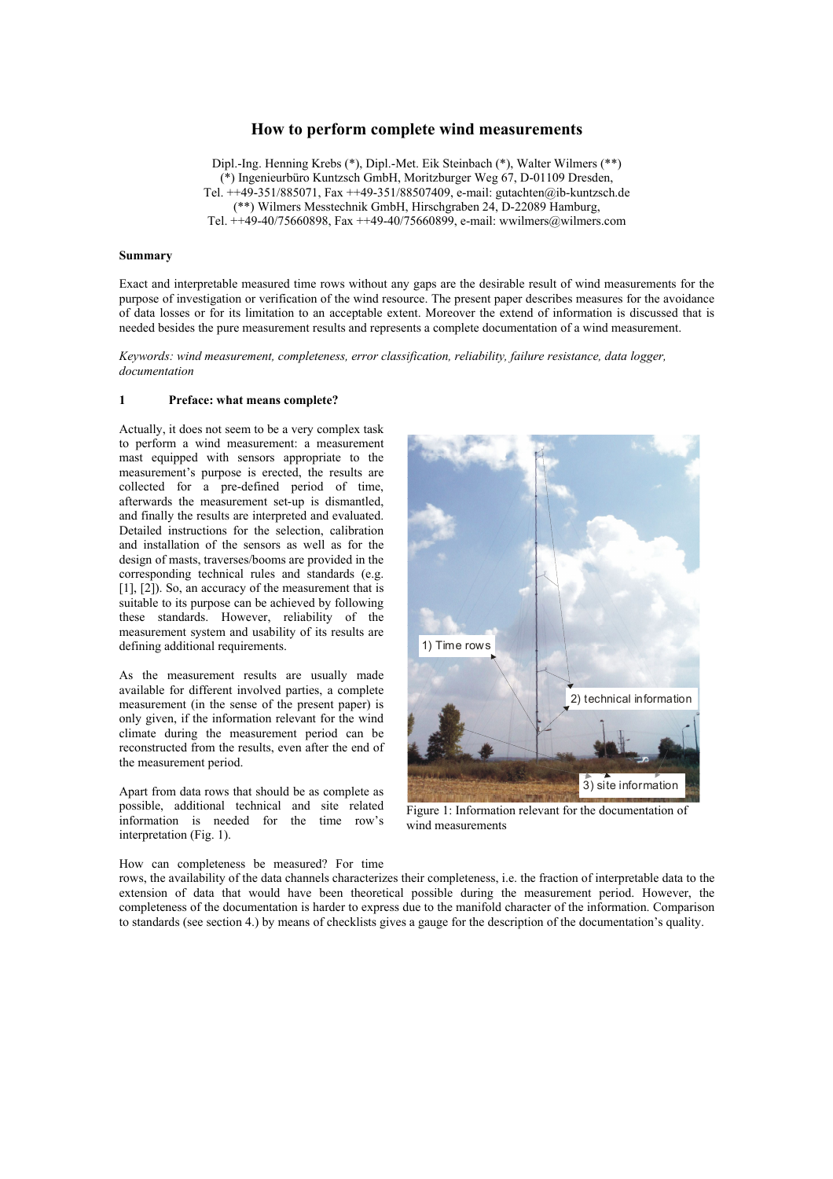# **How to perform complete wind measurements**

Dipl.-Ing. Henning Krebs (\*), Dipl.-Met. Eik Steinbach (\*), Walter Wilmers (\*\*) (\*) Ingenieurbüro Kuntzsch GmbH, Moritzburger Weg 67, D-01109 Dresden, Tel. ++49-351/885071, Fax ++49-351/88507409, e-mail: gutachten@ib-kuntzsch.de (\*\*) Wilmers Messtechnik GmbH, Hirschgraben 24, D-22089 Hamburg, Tel.  $\pm$  +49-40/75660898, Fax  $\pm$  +49-40/75660899, e-mail: wwilmers@wilmers.com

### **Summary**

Exact and interpretable measured time rows without any gaps are the desirable result of wind measurements for the purpose of investigation or verification of the wind resource. The present paper describes measures for the avoidance of data losses or for its limitation to an acceptable extent. Moreover the extend of information is discussed that is needed besides the pure measurement results and represents a complete documentation of a wind measurement.

*Keywords: wind measurement, completeness, error classification, reliability, failure resistance, data logger, documentation* 

#### **1 Preface: what means complete?**

Actually, it does not seem to be a very complex task to perform a wind measurement: a measurement mast equipped with sensors appropriate to the measurement's purpose is erected, the results are collected for a pre-defined period of time, afterwards the measurement set-up is dismantled, and finally the results are interpreted and evaluated. Detailed instructions for the selection, calibration and installation of the sensors as well as for the design of masts, traverses/booms are provided in the corresponding technical rules and standards (e.g. [1], [2]). So, an accuracy of the measurement that is suitable to its purpose can be achieved by following these standards. However, reliability of the measurement system and usability of its results are defining additional requirements.

As the measurement results are usually made available for different involved parties, a complete measurement (in the sense of the present paper) is only given, if the information relevant for the wind climate during the measurement period can be reconstructed from the results, even after the end of the measurement period.

Apart from data rows that should be as complete as possible, additional technical and site related information is needed for the time row's interpretation (Fig. 1).



Figure 1: Information relevant for the documentation of wind measurements

How can completeness be measured? For time

rows, the availability of the data channels characterizes their completeness, i.e. the fraction of interpretable data to the extension of data that would have been theoretical possible during the measurement period. However, the completeness of the documentation is harder to express due to the manifold character of the information. Comparison to standards (see section 4.) by means of checklists gives a gauge for the description of the documentation's quality.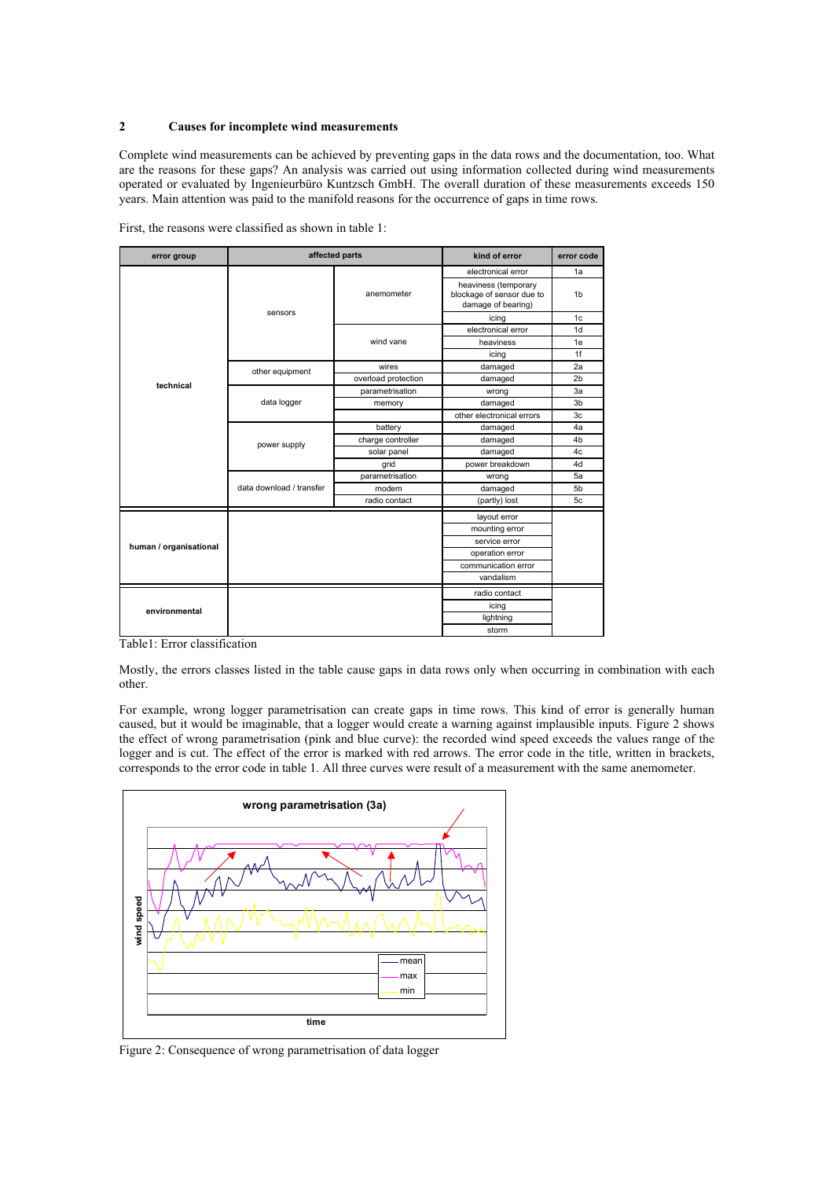### **2 Causes for incomplete wind measurements**

Complete wind measurements can be achieved by preventing gaps in the data rows and the documentation, too. What are the reasons for these gaps? An analysis was carried out using information collected during wind measurements operated or evaluated by Ingenieurbüro Kuntzsch GmbH. The overall duration of these measurements exceeds 150 years. Main attention was paid to the manifold reasons for the occurrence of gaps in time rows.

| error group            | affected parts           |                     | kind of error                                                           | error code     |  |
|------------------------|--------------------------|---------------------|-------------------------------------------------------------------------|----------------|--|
| technical              | sensors                  | anemometer          | electronical error                                                      | 1a             |  |
|                        |                          |                     | heaviness (temporary<br>blockage of sensor due to<br>damage of bearing) | 1 <sub>b</sub> |  |
|                        |                          |                     | icing                                                                   | 1 <sub>c</sub> |  |
|                        |                          | wind vane           | electronical error                                                      | 1 <sub>d</sub> |  |
|                        |                          |                     | heaviness                                                               | 1e             |  |
|                        |                          |                     | icing                                                                   | 1f             |  |
|                        | other equipment          | wires               | damaged                                                                 | 2a             |  |
|                        |                          | overload protection | damaged                                                                 | 2 <sub>b</sub> |  |
|                        | data logger              | parametrisation     | wrong                                                                   | 3a             |  |
|                        |                          | memory              | damaged                                                                 | 3b             |  |
|                        |                          |                     | other electronical errors                                               | 3c             |  |
|                        | power supply             | battery             | damaged                                                                 | 4a             |  |
|                        |                          | charge controller   | damaged                                                                 | 4 <sub>b</sub> |  |
|                        |                          | solar panel         | damaged                                                                 | 4c             |  |
|                        |                          | grid                | power breakdown                                                         | 4d             |  |
|                        | data download / transfer | parametrisation     | wrong                                                                   | 5a             |  |
|                        |                          | modem               | damaged                                                                 | 5 <sub>b</sub> |  |
|                        |                          | radio contact       | (partly) lost                                                           | 5c             |  |
| human / organisational |                          |                     | layout error                                                            |                |  |
|                        |                          |                     | mounting error                                                          |                |  |
|                        |                          |                     | service error                                                           |                |  |
|                        |                          |                     | operation error                                                         |                |  |
|                        |                          |                     | communication error                                                     |                |  |
|                        |                          |                     | vandalism                                                               |                |  |
| environmental          |                          |                     | radio contact                                                           |                |  |
|                        |                          |                     | icing                                                                   |                |  |
|                        |                          |                     | lightning                                                               |                |  |
|                        |                          |                     | storm                                                                   |                |  |

First, the reasons were classified as shown in table 1:

Table1: Error classification

Mostly, the errors classes listed in the table cause gaps in data rows only when occurring in combination with each other.

For example, wrong logger parametrisation can create gaps in time rows. This kind of error is generally human caused, but it would be imaginable, that a logger would create a warning against implausible inputs. Figure 2 shows the effect of wrong parametrisation (pink and blue curve): the recorded wind speed exceeds the values range of the logger and is cut. The effect of the error is marked with red arrows. The error code in the title, written in brackets, corresponds to the error code in table 1. All three curves were result of a measurement with the same anemometer.



Figure 2: Consequence of wrong parametrisation of data logger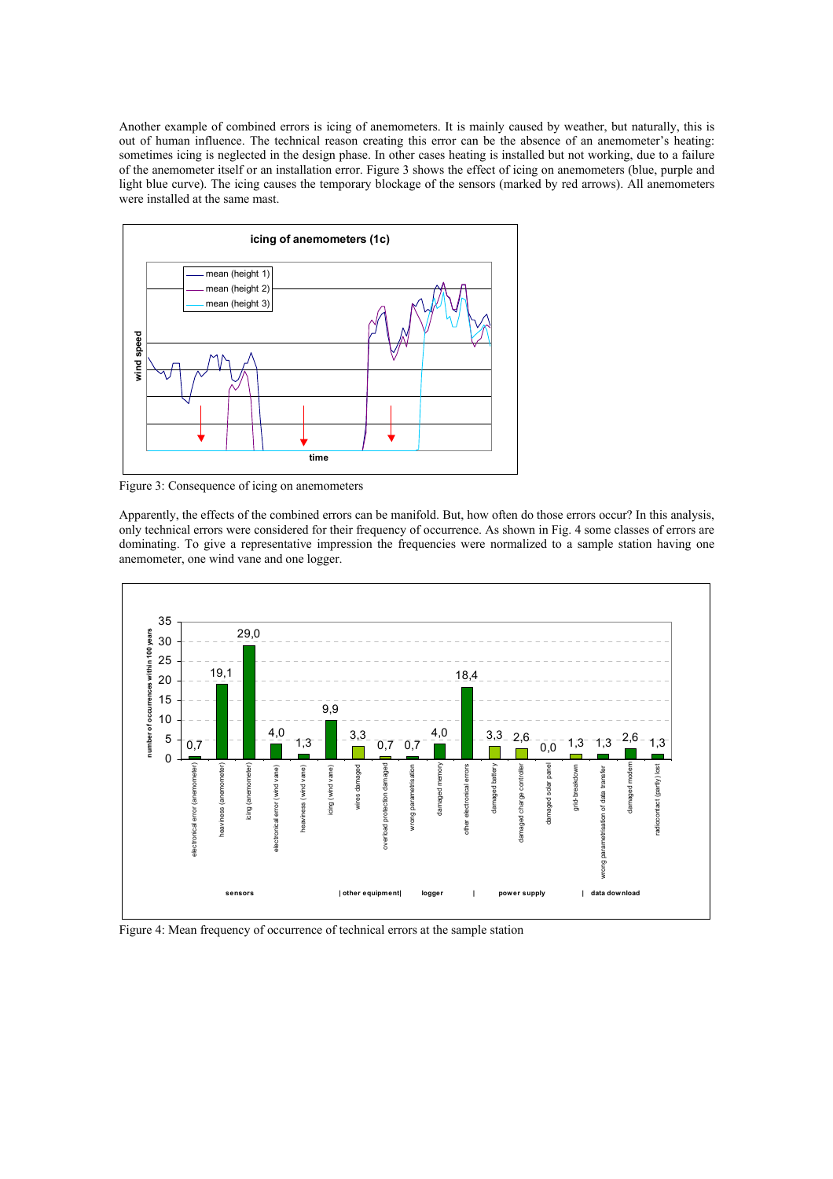Another example of combined errors is icing of anemometers. It is mainly caused by weather, but naturally, this is out of human influence. The technical reason creating this error can be the absence of an anemometer's heating: sometimes icing is neglected in the design phase. In other cases heating is installed but not working, due to a failure of the anemometer itself or an installation error. Figure 3 shows the effect of icing on anemometers (blue, purple and light blue curve). The icing causes the temporary blockage of the sensors (marked by red arrows). All anemometers were installed at the same mast.



Figure 3: Consequence of icing on anemometers

Apparently, the effects of the combined errors can be manifold. But, how often do those errors occur? In this analysis, only technical errors were considered for their frequency of occurrence. As shown in Fig. 4 some classes of errors are dominating. To give a representative impression the frequencies were normalized to a sample station having one anemometer, one wind vane and one logger.



Figure 4: Mean frequency of occurrence of technical errors at the sample station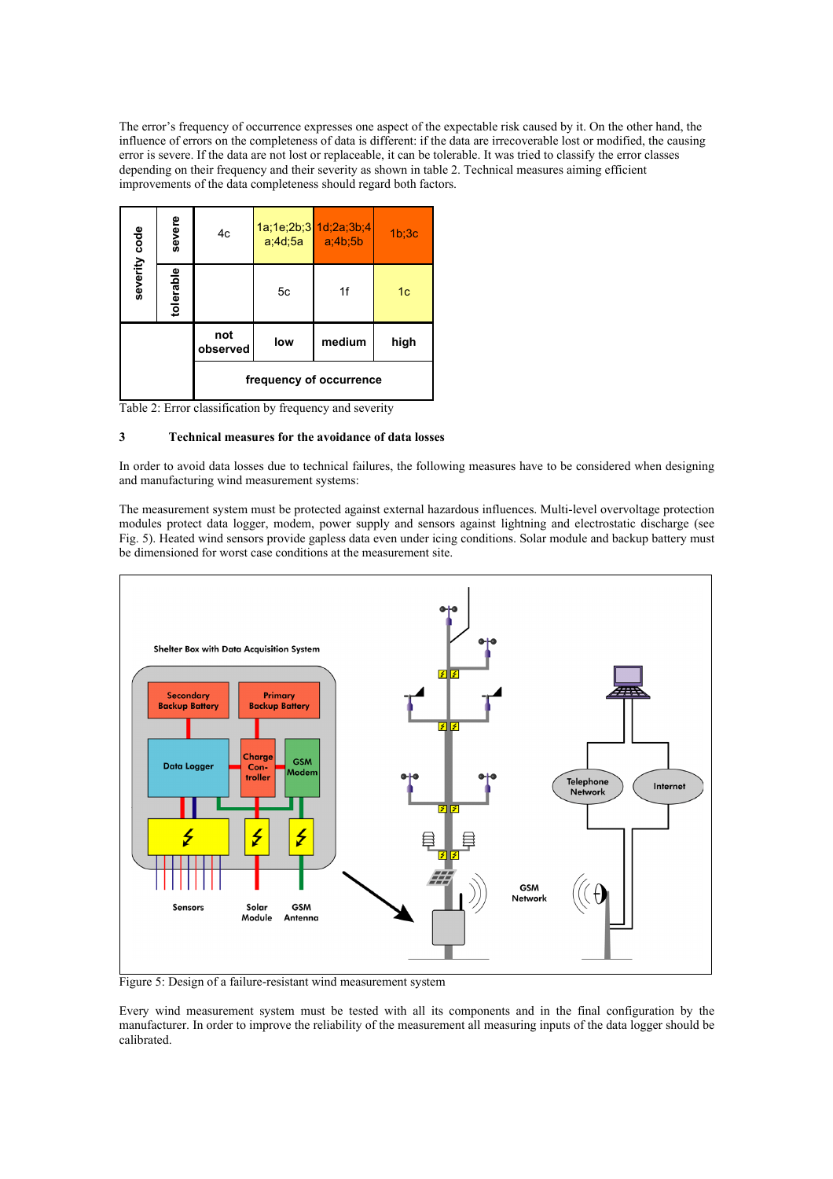The error's frequency of occurrence expresses one aspect of the expectable risk caused by it. On the other hand, the influence of errors on the completeness of data is different: if the data are irrecoverable lost or modified, the causing error is severe. If the data are not lost or replaceable, it can be tolerable. It was tried to classify the error classes depending on their frequency and their severity as shown in table 2. Technical measures aiming efficient improvements of the data completeness should regard both factors.

| severity code           | severe    | 4c              |     | 1a;1e;2b;3 1d;2a;3b;4<br>$a;4d;5a$ $a;4b;5b$ | 1 <sub>b</sub> :3 <sub>c</sub> |
|-------------------------|-----------|-----------------|-----|----------------------------------------------|--------------------------------|
|                         | tolerable |                 | 5c  | 1f                                           | 1 <sub>c</sub>                 |
|                         |           | not<br>observed | low | medium                                       | high                           |
| frequency of occurrence |           |                 |     |                                              |                                |

Table 2: Error classification by frequency and severity

# **3 Technical measures for the avoidance of data losses**

In order to avoid data losses due to technical failures, the following measures have to be considered when designing and manufacturing wind measurement systems:

The measurement system must be protected against external hazardous influences. Multi-level overvoltage protection modules protect data logger, modem, power supply and sensors against lightning and electrostatic discharge (see Fig. 5). Heated wind sensors provide gapless data even under icing conditions. Solar module and backup battery must be dimensioned for worst case conditions at the measurement site.



Figure 5: Design of a failure-resistant wind measurement system

Every wind measurement system must be tested with all its components and in the final configuration by the manufacturer. In order to improve the reliability of the measurement all measuring inputs of the data logger should be calibrated.